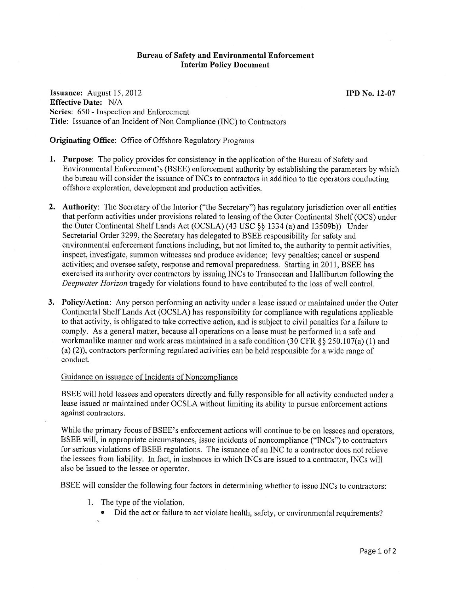## Bureau of Safety and Environmental Enforcement Interim Policy Document

**Issuance:** August  $15, 2012$  **IPD No. 12-07** Effective Date: N/A Series: 650 - Inspection and Enforcement Title: Issuance of an Incident of Non Compliance (INC) to Contractors

## Originating Office: Office of Offshore Regulatory Programs

- 1. Purpose: The policy provides for consistency in the application of the Bureau of Safety and Environmental Enforcement's (BSEE) enforcement authority by establishing the parameters by which the bureau will consider the issuance of INCs to contractors in addition to the operators conducting offshore exploration, development and production activities.
- 2. Authority: The Secretary of the Interior ("the Secretary") has regulatory jurisdiction over all entities that perform activities under provisions related to leasing of the Outer Continental Shelf (OCS) under the Outer Continental ShelfLands Act (OCSLA) (43 USC§§ 1334 (a) and 13509b)) Under Secretarial Order 3299, the Secretary has delegated to BSEE responsibility for safety and environmental enforcement functions including, but not limited to, the authority to permit activities, inspect, investigate, summon witnesses and produce evidence; levy penalties; cancel or suspend activities; and oversee safety, response and removal preparedness. Starting in 2011, BSEE has exercised its authority over contractors by issuing INCs to Transocean and Halliburton following the *Deepwater Horizon* tragedy for violations found to have contributed to the loss of well control.
- 3. Policy/Action: Any person performing an activity under a lease issued or maintained under the Outer Continental Shelf Lands Act (OCSLA) has responsibility for compliance with regulations applicable to that activity, is obligated to take corrective action, and is subject to civil penalties for a failure to comply. As a general matter, because all operations on a lease must be performed in a safe and workmanlike manner and work areas maintained in a safe condition (30 CFR §§ 250.107(a) (1) and (a) (2)), contractors performing regulated activities can be held responsible for a wide range of conduct.

## Guidance on issuance of Incidents of Noncompliance

BSEE will hold lessees and operators directly and fully responsible for all activity conducted under a lease issued or maintained under OCSLA without limiting its ability to pursue enforcement actions against contractors.

While the primary focus of BSEE's enforcement actions will continue to be on lessees and operators, BSEE will, in appropriate circumstances, issue incidents of noncompliance ("INCs") to contractors for serious violations of BSEE regulations. The issuance of an INC to a contractor does not relieve the lessees from liability. In fact, in instances in which INCs are issued to a contractor, INCs will also be issued to the lessee or operator.

BSEE will consider the following four factors in determining whether to issue INCs to contractors:

- 1. The type of the violation,
	- Did the act or failure to act violate health, safety, or environmental requirements?